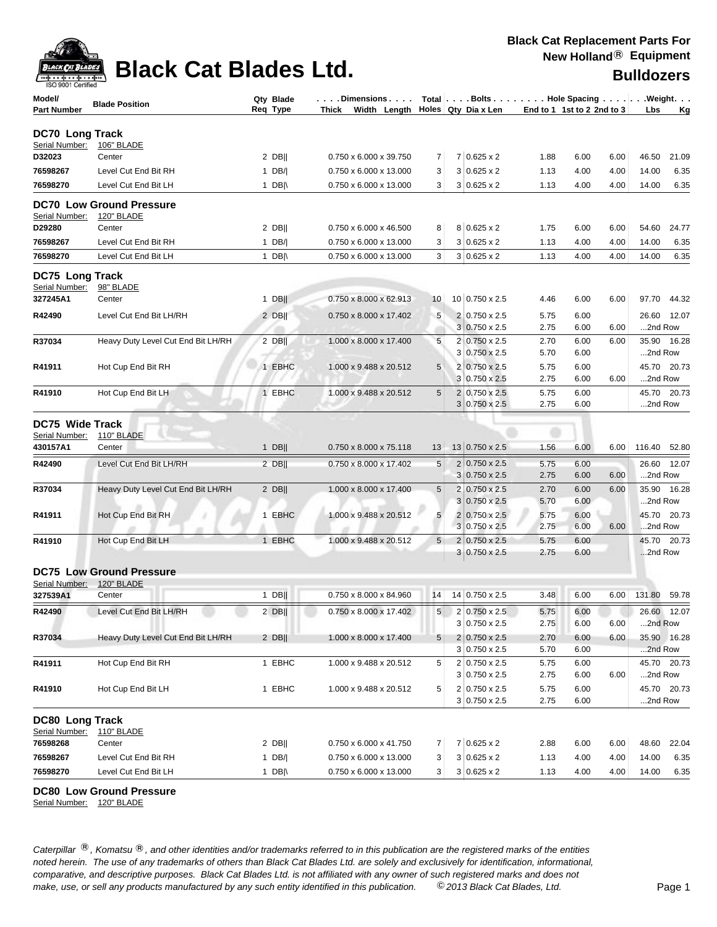

## **Black Cat Blades Ltd. Black Cat Blades Ltd. Bulldozers**

| ISO 9001 Certified                |                                    |                  |                        |                |                |                                        |                            |              |      |              |             |
|-----------------------------------|------------------------------------|------------------|------------------------|----------------|----------------|----------------------------------------|----------------------------|--------------|------|--------------|-------------|
| Model/                            | <b>Blade Position</b>              | Qty Blade        | . Dimensions           |                |                | Total   Bolts   Hole Spacing   Weight. |                            |              |      |              |             |
| <b>Part Number</b>                |                                    | Req Type         | Width Length<br>Thick  |                |                | Holes   Qty Dia x Len                  | End to 1 1st to 2 2nd to 3 |              |      | Lbs          | Κg          |
| DC70 Long Track                   |                                    |                  |                        |                |                |                                        |                            |              |      |              |             |
| Serial Number:                    | 106" BLADE                         |                  |                        |                |                |                                        |                            |              |      |              |             |
| D32023                            | Center                             | $2$ DB           | 0.750 x 6.000 x 39.750 | 7              |                | $7 0.625 \times 2$                     | 1.88                       | 6.00         | 6.00 | 46.50        | 21.09       |
| 76598267                          | Level Cut End Bit RH               | 1 $DB/$          | 0.750 x 6.000 x 13.000 | 3              |                | $3 0.625 \times 2$                     | 1.13                       | 4.00         | 4.00 | 14.00        | 6.35        |
| 76598270                          | Level Cut End Bit LH               | 1 DB $\parallel$ | 0.750 x 6.000 x 13.000 | 3              |                | $3 0.625 \times 2$                     | 1.13                       | 4.00         | 4.00 | 14.00        | 6.35        |
|                                   | <b>DC70 Low Ground Pressure</b>    |                  |                        |                |                |                                        |                            |              |      |              |             |
| Serial Number:                    | 120" BLADE                         |                  |                        |                |                |                                        |                            |              |      |              |             |
| D29280                            | Center                             | $2$ DB           | 0.750 x 6.000 x 46.500 | 8              |                | $8 0.625 \times 2$                     | 1.75                       | 6.00         | 6.00 | 54.60        | 24.77       |
| 76598267                          | Level Cut End Bit RH               | $1$ DB/          | 0.750 x 6.000 x 13.000 | 3              |                | $3 0.625 \times 2$                     | 1.13                       | 4.00         | 4.00 | 14.00        | 6.35        |
| 76598270                          | Level Cut End Bit LH               | 1 DB $\parallel$ | 0.750 x 6.000 x 13.000 | 3              |                | $3 0.625 \times 2$                     | 1.13                       | 4.00         | 4.00 | 14.00        | 6.35        |
|                                   |                                    |                  |                        |                |                |                                        |                            |              |      |              |             |
| DC75 Long Track<br>Serial Number: | 98" BLADE                          |                  |                        |                |                |                                        |                            |              |      |              |             |
| 327245A1                          | Center                             | $1$ DB           | 0.750 x 8.000 x 62.913 | 10             |                | 10 0.750 x 2.5                         | 4.46                       | 6.00         | 6.00 | 97.70        | 44.32       |
| R42490                            | Level Cut End Bit LH/RH            | $2$ DB           | 0.750 x 8.000 x 17.402 | $\sqrt{5}$     |                | 2 0.750 x 2.5                          | 5.75                       | 6.00         |      |              | 26.60 12.07 |
|                                   |                                    |                  |                        |                |                | $3 0.750 \times 2.5$                   | 2.75                       | 6.00         | 6.00 | 2nd Row      |             |
| R37034                            | Heavy Duty Level Cut End Bit LH/RH | $2$ DB           | 1.000 x 8.000 x 17.400 | 5              | $\overline{2}$ | $0.750 \times 2.5$                     | 2.70                       | 6.00         | 6.00 |              | 35.90 16.28 |
|                                   |                                    |                  |                        |                |                | $3 0.750 \times 2.5$                   | 5.70                       | 6.00         |      | 2nd Row      |             |
| R41911                            | Hot Cup End Bit RH                 | 1 EBHC           | 1.000 x 9.488 x 20.512 | 5              |                | 2 0.750 x 2.5                          | 5.75                       | 6.00         |      | 45.70        | 20.73       |
|                                   |                                    |                  |                        |                |                | $3 0.750 \times 2.5$                   | 2.75                       | 6.00         | 6.00 | 2nd Row      |             |
| R41910                            | Hot Cup End Bit LH                 | 1 EBHC           | 1.000 x 9.488 x 20.512 | 5              |                | 2 0.750 x 2.5                          | 5.75                       | 6.00         |      |              | 45.70 20.73 |
|                                   |                                    |                  |                        |                |                | $3 0.750 \times 2.5$                   | 2.75                       | 6.00         |      | 2nd Row      |             |
| DC75 Wide Track                   |                                    |                  |                        |                |                |                                        |                            |              |      |              |             |
| Serial Number:                    | 110" BLADE                         |                  |                        |                |                |                                        |                            |              |      |              |             |
| 430157A1                          | Center                             | $1$ DB           | 0.750 x 8.000 x 75.118 | 13             |                | 13 0.750 x 2.5                         | 1.56                       | 6.00         | 6.00 | 116.40 52.80 |             |
| R42490                            | Level Cut End Bit LH/RH            | 2 DB             | 0.750 x 8.000 x 17.402 | 5              |                | 2 0.750 x 2.5                          | 5.75                       | 6.00         |      |              | 26.60 12.07 |
|                                   |                                    |                  |                        |                |                | $3 0.750 \times 2.5$                   | 2.75                       | 6.00         | 6.00 | 2nd Row      |             |
| R37034                            | Heavy Duty Level Cut End Bit LH/RH | 2 $DB$           | 1.000 x 8.000 x 17.400 | 5              | 2              | $0.750 \times 2.5$                     | 2.70                       | 6.00         | 6.00 |              | 35.90 16.28 |
|                                   |                                    |                  |                        |                |                | $3 0.750 \times 2.5$                   | 5.70                       | 6.00         |      | 2nd Row      |             |
| R41911                            | Hot Cup End Bit RH                 | 1 EBHC           | 1.000 x 9.488 x 20.512 | 5              |                | $2 0.750 \times 2.5$                   | 5.75                       | 6.00         |      | 45.70        | 20.73       |
|                                   |                                    |                  |                        |                |                | $3 0.750 \times 2.5$                   | 2.75                       | 6.00         | 6.00 | 2nd Row      |             |
| R41910                            | Hot Cup End Bit LH                 | 1 EBHC           | 1.000 x 9.488 x 20.512 | 5              |                | 2 0.750 x 2.5                          | 5.75                       | 6.00         |      | 45.70        | 20.73       |
|                                   |                                    |                  |                        |                |                | $3 0.750 \times 2.5$                   | 2.75                       | 6.00         |      | 2nd Row      |             |
|                                   | <b>DC75 Low Ground Pressure</b>    |                  |                        |                |                |                                        |                            |              |      |              |             |
| Serial Number:                    | 120" BLADE                         |                  |                        |                |                |                                        |                            |              |      |              |             |
| 327539A1                          | Center                             | $1$ DB           | 0.750 x 8.000 x 84.960 | 14             |                | 14 0.750 x 2.5                         | 3.48                       | 6.00         | 6.00 | 131.80       | 59.78       |
| R42490                            | Level Cut End Bit LH/RH            | $2$ DB           | 0.750 x 8.000 x 17.402 | 5 <sup>2</sup> |                | $2 0.750 \times 2.5 $                  | 5.75                       | 6.00         |      |              | 26.60 12.07 |
|                                   |                                    |                  |                        |                |                | 3 0.750 x 2.5                          | 2.75                       | 6.00         | 6.00 | 2nd Row      |             |
| R37034                            | Heavy Duty Level Cut End Bit LH/RH | $2$ DB           | 1.000 x 8.000 x 17.400 | 5              |                | 2 0.750 x 2.5                          | 2.70                       | 6.00         | 6.00 |              | 35.90 16.28 |
|                                   |                                    |                  |                        |                |                | $3 0.750 \times 2.5$                   | 5.70                       | 6.00         |      | 2nd Row      |             |
| R41911                            | Hot Cup End Bit RH                 | 1 EBHC           | 1.000 x 9.488 x 20.512 | 5              |                | $2 0.750 \times 2.5$                   | 5.75                       | 6.00         |      |              | 45.70 20.73 |
|                                   |                                    |                  |                        |                |                | $3 0.750 \times 2.5$                   | 2.75                       | 6.00         | 6.00 | 2nd Row      |             |
| R41910                            | Hot Cup End Bit LH                 | 1 EBHC           | 1.000 x 9.488 x 20.512 | 5              |                | $2 0.750 \times 2.5$<br>3 0.750 x 2.5  | 5.75<br>2.75               | 6.00<br>6.00 |      | 2nd Row      | 45.70 20.73 |
|                                   |                                    |                  |                        |                |                |                                        |                            |              |      |              |             |
| <b>DC80 Long Track</b>            |                                    |                  |                        |                |                |                                        |                            |              |      |              |             |
| Serial Number:                    | <b>110" BLADE</b>                  |                  |                        |                |                |                                        |                            |              |      |              |             |
| 76598268                          | Center                             | $2$ DB           | 0.750 x 6.000 x 41.750 | 7              |                | 7 0.625 x 2                            | 2.88                       | 6.00         | 6.00 | 48.60        | 22.04       |
| 76598267                          | Level Cut End Bit RH               | 1 $DB/ $         | 0.750 x 6.000 x 13.000 | 3              |                | $3 0.625 \times 2$                     | 1.13                       | 4.00         | 4.00 | 14.00        | 6.35        |
| 76598270                          | Level Cut End Bit LH               | 1 DB $\parallel$ | 0.750 x 6.000 x 13.000 | 3              |                | $3 0.625 \times 2$                     | 1.13                       | 4.00         | 4.00 | 14.00        | 6.35        |

**DC80 Low Ground Pressure**

Serial Number: 120" BLADE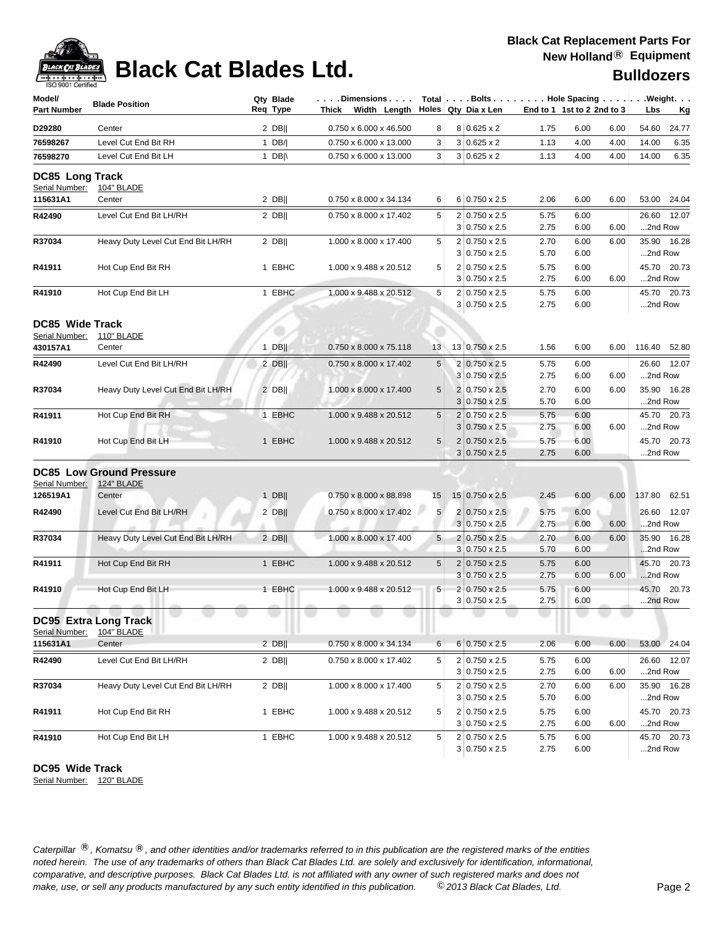## **Black Cat Replacement Parts For New Holland**® **Equipment**



# **Black Cat Blades Ltd.**

| <b>Bulldozers</b> |
|-------------------|
|                   |

| Model/<br><b>Part Number</b>                         | <b>Blade Position</b>                                | Qty Blade<br>Req Type | . Dimensions<br>Thick Width Length |                | Total Bolts Hole Spacing Weight.<br>Holes   Qty Dia x Len |              | End to 1 1st to 2 2nd to 3 |      | Lbs                    | Kg          |
|------------------------------------------------------|------------------------------------------------------|-----------------------|------------------------------------|----------------|-----------------------------------------------------------|--------------|----------------------------|------|------------------------|-------------|
| D29280                                               | Center                                               | $2$ DB                | 0.750 x 6.000 x 46.500             | 8              | $8 0.625 \times 2$                                        | 1.75         | 6.00                       | 6.00 | 54.60                  | 24.77       |
| 76598267                                             | Level Cut End Bit RH                                 | $1$ DB/               | 0.750 x 6.000 x 13.000             | 3              | $3 0.625 \times 2$                                        | 1.13         | 4.00                       | 4.00 | 14.00                  | 6.35        |
| 76598270                                             | Level Cut End Bit LH                                 | 1 $DB \wedge$         | 0.750 x 6.000 x 13.000             | 3              | $3 0.625 \times 2$                                        | 1.13         | 4.00                       | 4.00 | 14.00                  | 6.35        |
| <b>DC85 Long Track</b><br>Serial Number:             | <b>104" BLADE</b>                                    |                       |                                    |                |                                                           |              |                            |      |                        |             |
| 115631A1                                             | Center                                               | 2 DB                  | 0.750 x 8.000 x 34.134             | 6              | $6 0.750 \times 2.5$                                      | 2.06         | 6.00                       | 6.00 | 53.00 24.04            |             |
| R42490                                               | Level Cut End Bit LH/RH                              | $2$ DB                | 0.750 x 8.000 x 17.402             | 5              | $2 0.750 \times 2.5$<br>$3 0.750 \times 2.5$              | 5.75<br>2.75 | 6.00<br>6.00               | 6.00 | 2nd Row                | 26.60 12.07 |
| R37034                                               | Heavy Duty Level Cut End Bit LH/RH                   | $2$ DB                | 1.000 x 8.000 x 17.400             | 5              | 2 0.750 x 2.5<br>$3 0.750 \times 2.5$                     | 2.70<br>5.70 | 6.00<br>6.00               | 6.00 | 35.90 16.28<br>2nd Row |             |
| R41911                                               | Hot Cup End Bit RH                                   | 1 EBHC                | 1.000 x 9.488 x 20.512             | 5              | 2 0.750 x 2.5<br>$3 0.750 \times 2.5$                     | 5.75<br>2.75 | 6.00<br>6.00               | 6.00 | 45.70 20.73<br>2nd Row |             |
| R41910                                               | Hot Cup End Bit LH                                   | 1 EBHC                | 1.000 x 9.488 x 20.512             | 5              | 2 0.750 x 2.5<br>$3 0.750 \times 2.5$                     | 5.75<br>2.75 | 6.00<br>6.00               |      | 2nd Row                | 45.70 20.73 |
| <b>DC85 Wide Track</b><br>Serial Number:<br>430157A1 | 110" BLADE<br>Center                                 | $1$ DB                | 0.750 x 8.000 x 75.118             | 13             | 13 0.750 x 2.5                                            | 1.56         | 6.00                       | 6.00 | 116.40                 | 52.80       |
|                                                      |                                                      |                       |                                    |                | 2 0.750 x 2.5                                             |              |                            |      |                        |             |
| R42490                                               | Level Cut End Bit LH/RH                              | $2$ DB                | 0.750 x 8.000 x 17.402             | 5              | $3 0.750 \times 2.5$                                      | 5.75<br>2.75 | 6.00<br>6.00               | 6.00 | 26.60<br>2nd Row       | 12.07       |
| R37034                                               | Heavy Duty Level Cut End Bit LH/RH                   | $2$ DB                | 1.000 x 8.000 x 17.400             | 5              | 2 0.750 x 2.5<br>$3 0.750 \times 2.5$                     | 2.70<br>5.70 | 6.00<br>6.00               | 6.00 | 35.90 16.28<br>2nd Row |             |
| R41911                                               | Hot Cup End Bit RH                                   | 1 EBHC                | 1.000 x 9.488 x 20.512             | 5              | $2 0.750 \times 2.5 $<br>$3 0.750 \times 2.5$             | 5.75<br>2.75 | 6.00<br>6.00               | 6.00 | 45.70 20.73<br>2nd Row |             |
| R41910                                               | Hot Cup End Bit LH                                   | 1 EBHC                | 1.000 x 9.488 x 20.512             | 5              | $2 0.750 \times 2.5 $<br>$3 0.750 \times 2.5$             | 5.75<br>2.75 | 6.00<br>6.00               |      | 45.70 20.73<br>2nd Row |             |
| Serial Number:                                       | <b>DC85 Low Ground Pressure</b><br><b>124" BLADE</b> |                       |                                    |                |                                                           |              |                            |      |                        |             |
| 126519A1                                             | Center                                               | $1$ DB                | 0.750 x 8.000 x 88.898             | 15             | 15 0.750 x 2.5                                            | 2.45         | 6.00                       | 6.00 | 137.80                 | 62.51       |
| R42490                                               | Level Cut End Bit LH/RH                              | $2$ DB                | 0.750 x 8.000 x 17.402             | 5              | $2 0.750 \times 2.5 $<br>$3 0.750 \times 2.5$             | 5.75<br>2.75 | 6.00<br>6.00               | 6.00 | 26.60<br>2nd Row       | 12.07       |
| R37034                                               | Heavy Duty Level Cut End Bit LH/RH                   | $2$ DB                | 1.000 x 8.000 x 17.400             | 5 <sub>5</sub> | $2 0.750 \times 2.5 $<br>$3 0.750 \times 2.5$             | 2.70<br>5.70 | 6.00<br>6.00               | 6.00 | 35.90 16.28<br>2nd Row |             |
| R41911                                               | Hot Cup End Bit RH                                   | 1 EBHC                | 1.000 x 9.488 x 20.512             | 5              | $2 0.750 \times 2.5$<br>$3 0.750 \times 2.5$              | 5.75<br>2.75 | 6.00<br>6.00               | 6.00 | 45.70 20.73<br>2nd Row |             |
| R41910                                               | Hot Cup End Bit LH                                   | 1 EBHC                | 1.000 x 9.488 x 20.512             | 5 <sup>5</sup> | 2 0.750 x 2.5<br>$3 0.750 \times 2.5$                     | 5.75<br>2.75 | 6.00<br>6.00               |      | 45.70 20.73<br>2nd Row |             |
| Serial Number:                                       | <b>DC95 Extra Long Track</b><br>104" BLADE           |                       |                                    |                |                                                           |              |                            |      |                        |             |
| 115631A1                                             | Center                                               | $2$ DB                | $0.750 \times 8.000 \times 34.134$ | 6              | $6 0.750 \times 2.5$                                      | 2.06         | 6.00                       | 6.00 | 53.00 24.04            |             |
| R42490                                               | Level Cut End Bit LH/RH                              | 2 DB                  | 0.750 x 8.000 x 17.402             | 5              | 2 0.750 x 2.5<br>$3 0.750 \times 2.5$                     | 5.75<br>2.75 | 6.00<br>6.00               | 6.00 | 26.60<br>2nd Row       | 12.07       |
| R37034                                               | Heavy Duty Level Cut End Bit LH/RH                   | $2$ DB                | 1.000 x 8.000 x 17.400             | 5              | 2 0.750 x 2.5<br>$3 0.750 \times 2.5$                     | 2.70<br>5.70 | 6.00<br>6.00               | 6.00 | 35.90 16.28<br>2nd Row |             |
| R41911                                               | Hot Cup End Bit RH                                   | 1 EBHC                | 1.000 x 9.488 x 20.512             | 5              | 2 0.750 x 2.5<br>$3 0.750 \times 2.5$                     | 5.75<br>2.75 | 6.00<br>6.00               | 6.00 | 2nd Row                | 45.70 20.73 |
| R41910                                               | Hot Cup End Bit LH                                   | 1 EBHC                | 1.000 x 9.488 x 20.512             | 5              | 2 0.750 x 2.5<br>$3 0.750 \times 2.5$                     | 5.75<br>2.75 | 6.00<br>6.00               |      | 2nd Row                | 45.70 20.73 |

**DC95 Wide Track**

Serial Number: 120" BLADE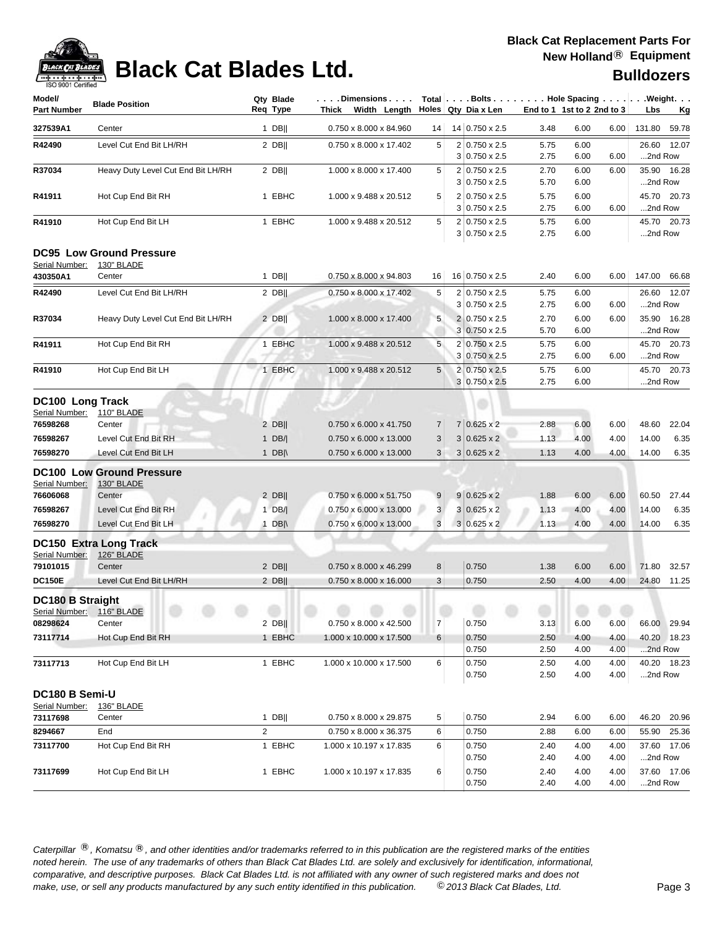# **Black Cat Blades Ltd. Black Cat Blades Ltd. Bulldozers**

| <b>IOO SUU LOBITIIIED</b>                            |                                                         |                       |        |                                  |                |                                              |              |                            |              |                                                            |
|------------------------------------------------------|---------------------------------------------------------|-----------------------|--------|----------------------------------|----------------|----------------------------------------------|--------------|----------------------------|--------------|------------------------------------------------------------|
| Model/<br><b>Part Number</b>                         | <b>Blade Position</b>                                   | Qty Blade<br>Req Type |        | Dimensions<br>Thick Width Length |                | Holes Qty Dia x Len                          |              | End to 1 1st to 2 2nd to 3 |              | Total   Bolts   Hole Spacing   Weight.<br>Lbs<br><u>Kg</u> |
| 327539A1                                             | Center                                                  | $1$ DB                |        | 0.750 x 8.000 x 84.960           | 14             | 14 0.750 x 2.5                               | 3.48         | 6.00                       | 6.00         | 131.80<br>59.78                                            |
| R42490                                               | Level Cut End Bit LH/RH                                 | $2$ DB                |        | 0.750 x 8.000 x 17.402           | 5              | 2 0.750 x 2.5<br>$3 0.750 \times 2.5$        | 5.75<br>2.75 | 6.00<br>6.00               | 6.00         | 26.60 12.07<br>2nd Row                                     |
| R37034                                               | Heavy Duty Level Cut End Bit LH/RH                      | $2$ DB                |        | 1.000 x 8.000 x 17.400           | 5              | 2 0.750 x 2.5<br>$3 0.750 \times 2.5$        | 2.70<br>5.70 | 6.00<br>6.00               | 6.00         | 35.90 16.28<br>2nd Row                                     |
| R41911                                               | Hot Cup End Bit RH                                      | 1 EBHC                |        | 1.000 x 9.488 x 20.512           | 5              | $2 0.750 \times 2.5$<br>$3 0.750 \times 2.5$ | 5.75<br>2.75 | 6.00<br>6.00               | 6.00         | 45.70 20.73<br>2nd Row                                     |
| R41910                                               | Hot Cup End Bit LH                                      |                       | 1 EBHC | 1.000 x 9.488 x 20.512           | 5              | 2 0.750 x 2.5<br>$3 0.750 \times 2.5$        | 5.75<br>2.75 | 6.00<br>6.00               |              | 45.70 20.73<br>2nd Row                                     |
| Serial Number:<br>430350A1                           | <b>DC95 Low Ground Pressure</b><br>130" BLADE<br>Center | $1$ DB                |        | 0.750 x 8.000 x 94.803           | 16             | 16 0.750 x 2.5                               | 2.40         | 6.00                       | 6.00         | 147.00<br>66.68                                            |
| R42490                                               | Level Cut End Bit LH/RH                                 | $2$ DB                |        | 0.750 x 8.000 x 17.402           | 5              | 2 0.750 x 2.5<br>$3 0.750 \times 2.5$        | 5.75<br>2.75 | 6.00<br>6.00               | 6.00         | 26.60 12.07<br>2nd Row                                     |
| R37034                                               | Heavy Duty Level Cut End Bit LH/RH                      | $2$ DB                |        | 1.000 x 8.000 x 17.400           | 5              | 2 0.750 x 2.5<br>$3 0.750 \times 2.5$        | 2.70<br>5.70 | 6.00<br>6.00               | 6.00         | 35.90 16.28<br>2nd Row                                     |
| R41911                                               | Hot Cup End Bit RH                                      | 1 EBHC                |        | 1.000 x 9.488 x 20.512           | 5              | 2 0.750 x 2.5<br>3 0.750 x 2.5               | 5.75<br>2.75 | 6.00<br>6.00               | 6.00         | 45.70 20.73<br>2nd Row                                     |
| R41910                                               | Hot Cup End Bit LH                                      |                       | 1 EBHC | 1.000 x 9.488 x 20.512           | 5              | 2 0.750 x 2.5<br>3 0.750 x 2.5               | 5.75<br>2.75 | 6.00<br>6.00               |              | 45.70 20.73<br>2nd Row                                     |
| DC100 Long Track<br>Serial Number:                   | 110" BLADE                                              |                       |        |                                  |                |                                              |              |                            |              |                                                            |
| 76598268                                             | Center                                                  | $2$ DB                |        | 0.750 x 6.000 x 41.750           | $\overline{7}$ | $7 0.625 \times 2$                           | 2.88         | 6.00                       | 6.00         | 48.60<br>22.04                                             |
| 76598267                                             | Level Cut End Bit RH                                    | 1 $DB/ $              |        | 0.750 x 6.000 x 13.000           | 3              | $3 0.625 \times 2$                           | 1.13         | 4.00                       | 4.00         | 14.00<br>6.35                                              |
| 76598270                                             | Level Cut End Bit LH                                    | 1 DB $\parallel$      |        | 0.750 x 6.000 x 13.000           | 3              | $3 0.625 \times 2$                           | 1.13         | 4.00                       | 4.00         | 14.00<br>6.35                                              |
| Serial Number:                                       | <b>DC100 Low Ground Pressure</b><br>130" BLADE          |                       |        |                                  |                |                                              |              |                            |              |                                                            |
| 76606068                                             | Center                                                  | $2$ DB                |        | 0.750 x 6.000 x 51.750           | 9              | $9 0.625 \times 2$                           | 1.88         | 6.00                       | 6.00         | 60.50<br>27.44                                             |
| 76598267                                             | Level Cut End Bit RH                                    | $1$ DB/               |        | 0.750 x 6.000 x 13.000           | 3              | $3 0.625 \times 2$                           | 1.13         | 4.00                       | 4.00         | 14.00<br>6.35                                              |
| 76598270                                             | Level Cut End Bit LH                                    | 1 DB $\parallel$      |        | 0.750 x 6.000 x 13.000           | 3              | $3 0.625 \times 2$                           | 1.13         | 4.00                       | 4.00         | 6.35<br>14.00                                              |
| Serial Number:                                       | <b>DC150 Extra Long Track</b><br><b>126" BLADE</b>      |                       |        |                                  |                |                                              |              |                            |              |                                                            |
| 79101015                                             | Center                                                  | $2$ DB                |        | 0.750 x 8.000 x 46.299           | 8              | 0.750                                        | 1.38         | 6.00                       | 6.00         | 71.80<br>32.57                                             |
| <b>DC150E</b>                                        | Level Cut End Bit LH/RH                                 | $2$ DB                |        | 0.750 x 8.000 x 16.000           | 3              | 0.750                                        | 2.50         | 4.00                       | 4.00         | 24.80 11.25                                                |
| <b>DC180 B Straight</b><br>Serial Number: 116" BLADE |                                                         |                       |        |                                  |                |                                              |              |                            |              |                                                            |
| 08298624                                             | Center                                                  | $2$ DB                |        | 0.750 x 8.000 x 42.500           | 7              | 0.750                                        | 3.13         | 6.00                       | 6.00         | 66.00 29.94                                                |
| 73117714                                             | Hot Cup End Bit RH                                      |                       | 1 EBHC | 1.000 x 10.000 x 17.500          | 6              | 0.750                                        | 2.50         | 4.00                       | 4.00         | 40.20 18.23                                                |
|                                                      |                                                         |                       |        |                                  |                | 0.750                                        | 2.50         | 4.00                       | 4.00         | 2nd Row                                                    |
| 73117713                                             | Hot Cup End Bit LH                                      |                       | 1 EBHC | 1.000 x 10.000 x 17.500          | 6              | 0.750<br>0.750                               | 2.50<br>2.50 | 4.00<br>4.00               | 4.00<br>4.00 | 40.20 18.23<br>2nd Row                                     |
| DC180 B Semi-U<br>Serial Number:                     | 136" BLADE                                              |                       |        |                                  |                |                                              |              |                            |              |                                                            |
| 73117698                                             | Center                                                  | $1$ DB                |        | 0.750 x 8.000 x 29.875           | 5              | 0.750                                        | 2.94         | 6.00                       | 6.00         | 46.20<br>20.96                                             |
| 8294667                                              | End                                                     | $\overline{2}$        |        | 0.750 x 8.000 x 36.375           | 6              | 0.750                                        | 2.88         | 6.00                       | 6.00         | 55.90 25.36                                                |
| 73117700                                             | Hot Cup End Bit RH                                      | 1 EBHC                |        | 1.000 x 10.197 x 17.835          | 6              | 0.750<br>0.750                               | 2.40<br>2.40 | 4.00<br>4.00               | 4.00<br>4.00 | 37.60 17.06<br>2nd Row                                     |
| 73117699                                             | Hot Cup End Bit LH                                      | 1 EBHC                |        | 1.000 x 10.197 x 17.835          | 6              | 0.750<br>0.750                               | 2.40<br>2.40 | 4.00<br>4.00               | 4.00<br>4.00 | 37.60 17.06<br>2nd Row                                     |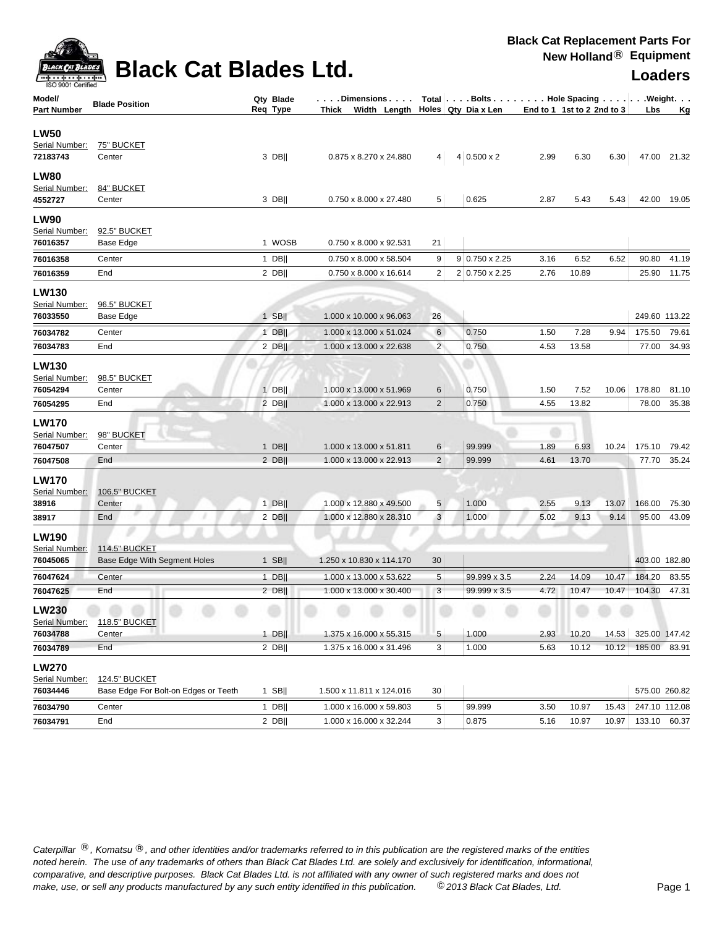

# **Black Cat Blades Ltd. Loaders Leaders**

**Black Cat Replacement Parts For New Holland**® **Equipment**

| Model/             | <b>Blade Position</b>                | Qty Blade | Dimensions   Total   Bolts    Hole Spacing    Weight   |                 |                       |                            |       |       |               |             |
|--------------------|--------------------------------------|-----------|--------------------------------------------------------|-----------------|-----------------------|----------------------------|-------|-------|---------------|-------------|
| <b>Part Number</b> |                                      | Req Type  | Thick Width Length $\vert$ Holes $\vert$ Qty Dia x Len |                 |                       | End to 1 1st to 2 2nd to 3 |       |       | Lbs           | <u>Kg</u>   |
| <b>LW50</b>        |                                      |           |                                                        |                 |                       |                            |       |       |               |             |
| Serial Number:     | <u>75" BUCKET</u>                    |           |                                                        |                 |                       |                            |       |       |               |             |
| 72183743           | Center                               | 3 DB      | 0.875 x 8.270 x 24.880                                 | 4               | $4 0.500 \times 2$    | 2.99                       | 6.30  | 6.30  |               | 47.00 21.32 |
| <b>LW80</b>        |                                      |           |                                                        |                 |                       |                            |       |       |               |             |
| Serial Number:     | 84" BUCKET                           |           |                                                        |                 |                       |                            |       |       |               |             |
| 4552727            | Center                               | 3 DB      | 0.750 x 8.000 x 27.480                                 | 5               | 0.625                 | 2.87                       | 5.43  | 5.43  |               | 42.00 19.05 |
| <b>LW90</b>        |                                      |           |                                                        |                 |                       |                            |       |       |               |             |
| Serial Number:     | 92.5" BUCKET                         |           |                                                        |                 |                       |                            |       |       |               |             |
| 76016357           | Base Edge                            | 1 WOSB    | 0.750 x 8.000 x 92.531                                 | 21              |                       |                            |       |       |               |             |
| 76016358           | Center                               | $1$ DB    | 0.750 x 8.000 x 58.504                                 | 9               | $9 0.750 \times 2.25$ | 3.16                       | 6.52  | 6.52  | 90.80         | 41.19       |
| 76016359           | End                                  | $2$ DB    | 0.750 x 8.000 x 16.614                                 | 2               | 2 0.750 x 2.25        | 2.76                       | 10.89 |       |               | 25.90 11.75 |
| <b>LW130</b>       |                                      |           |                                                        |                 |                       |                            |       |       |               |             |
| Serial Number:     | 96.5" BUCKET                         |           |                                                        |                 |                       |                            |       |       |               |             |
| 76033550           | Base Edge                            | $1$ SB    | 1.000 x 10.000 x 96.063                                | 26              |                       |                            |       |       | 249.60 113.22 |             |
| 76034782           | Center                               | $1$ DB    | 1.000 x 13.000 x 51.024                                | $6\phantom{.}6$ | 0.750                 | 1.50                       | 7.28  | 9.94  | 175.50        | 79.61       |
| 76034783           | End                                  | $2$ DB    | 1.000 x 13.000 x 22.638                                | $\overline{2}$  | 0.750                 | 4.53                       | 13.58 |       | 77.00         | 34.93       |
| <b>LW130</b>       |                                      |           |                                                        |                 |                       |                            |       |       |               |             |
| Serial Number:     | 98.5" BUCKET                         |           |                                                        |                 |                       |                            |       |       |               |             |
| 76054294           | Center                               | $1$ DB    | 1.000 x 13.000 x 51.969                                | 6               | 0.750                 | 1.50                       | 7.52  | 10.06 | 178.80        | 81.10       |
| 76054295           | End                                  | $2$ DB    | 1.000 x 13.000 x 22.913                                | $\overline{c}$  | 0.750                 | 4.55                       | 13.82 |       | 78.00         | 35.38       |
| <b>LW170</b>       |                                      |           |                                                        |                 |                       |                            |       |       |               |             |
| Serial Number:     | 98" BUCKET                           |           |                                                        |                 |                       |                            |       |       |               |             |
| 76047507           | Center                               | $1$ DB    | 1.000 x 13.000 x 51.811                                | 6               | 99.999                | 1.89                       | 6.93  | 10.24 | 175.10        | 79.42       |
| 76047508           | End                                  | $2$ DB    | 1.000 x 13.000 x 22.913                                | $\overline{2}$  | 99.999                | 4.61                       | 13.70 |       | 77.70         | 35.24       |
| <b>LW170</b>       |                                      |           |                                                        |                 |                       |                            |       |       |               |             |
| Serial Number:     | <b>106.5" BUCKET</b>                 |           |                                                        |                 |                       |                            |       |       |               |             |
| 38916              | Center                               | $1$ DB    | 1.000 x 12.880 x 49.500                                | 5               | 1.000                 | 2.55                       | 9.13  | 13.07 | 166.00        | 75.30       |
| 38917              | End                                  | $2$ DB    | 1.000 x 12.880 x 28.310                                | 3               | 1.000                 | 5.02                       | 9.13  | 9.14  | 95.00         | 43.09       |
| <b>LW190</b>       |                                      |           |                                                        |                 |                       |                            |       |       |               |             |
| Serial Number:     | <b>114.5" BUCKET</b>                 |           |                                                        |                 |                       |                            |       |       |               |             |
| 76045065           | Base Edge With Segment Holes         | $1$ SB    | 1.250 x 10.830 x 114.170                               | 30              |                       |                            |       |       | 403.00 182.80 |             |
| 76047624           | Center                               | 1 DB      | 1.000 x 13.000 x 53.622                                | $\sqrt{5}$      | 99.999 x 3.5          | 2.24                       | 14.09 | 10.47 | 184.20        | 83.55       |
| 76047625           | End                                  | $2$ DB    | 1.000 x 13.000 x 30.400                                | 3               | 99.999 x 3.5          | 4.72                       | 10.47 | 10.47 | 104.30        | 47.31       |
| <b>LW230</b>       |                                      |           |                                                        |                 |                       |                            |       |       |               |             |
| Serial Number:     | <b>118.5" BUCKET</b>                 |           |                                                        |                 |                       |                            |       |       |               |             |
| 76034788           | Center                               | $1$ DB    | 1.375 x 16.000 x 55.315                                | 5               | 1.000                 | 2.93                       | 10.20 | 14.53 | 325.00 147.42 |             |
| 76034789           | End                                  | $2$ DB    | 1.375 x 16.000 x 31.496                                | 3               | 1.000                 | 5.63                       | 10.12 | 10.12 | 185.00 83.91  |             |
| <b>LW270</b>       |                                      |           |                                                        |                 |                       |                            |       |       |               |             |
| Serial Number:     | 124.5" BUCKET                        |           |                                                        |                 |                       |                            |       |       |               |             |
| 76034446           | Base Edge For Bolt-on Edges or Teeth | $1$ SB    | 1.500 x 11.811 x 124.016                               | 30              |                       |                            |       |       | 575.00 260.82 |             |
| 76034790           | Center                               | 1 DB      | 1.000 x 16.000 x 59.803                                | 5               | 99.999                | 3.50                       | 10.97 | 15.43 | 247.10 112.08 |             |
| 76034791           | End                                  | $2$ DB    | 1.000 x 16.000 x 32.244                                | 3               | 0.875                 | 5.16                       | 10.97 | 10.97 | 133.10 60.37  |             |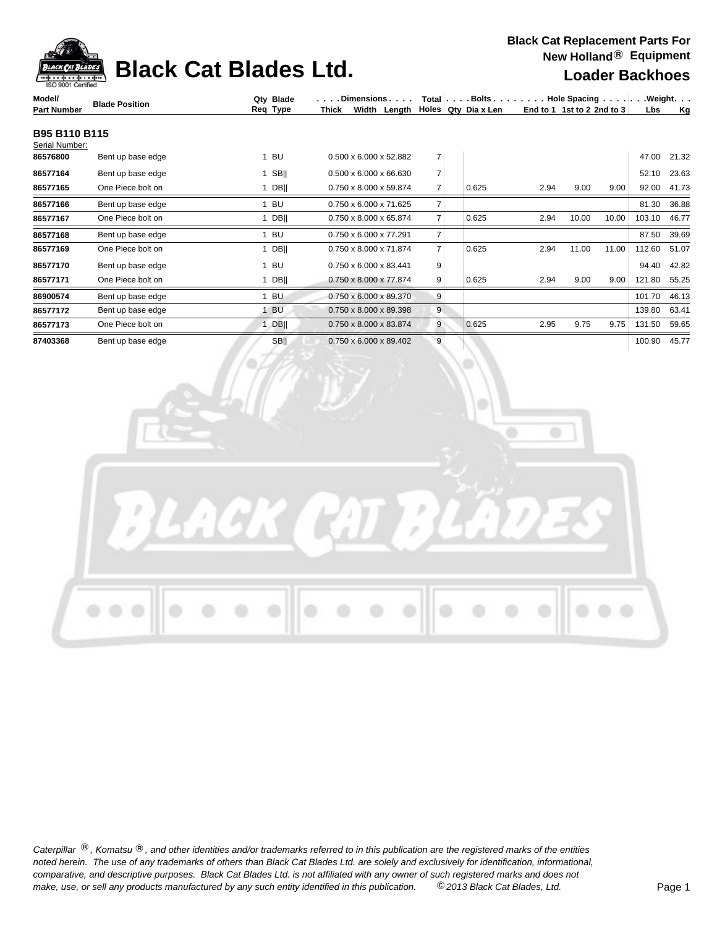| ack Pat B         |
|-------------------|
|                   |
| SO 9001 Certified |

# **Black Cat Blades Ltd. Loader Backhoes**

| Model/             | <b>Blade Position</b> | Qty Blade   |       | .Dimensions                        |  |                |  |                       | Total $\vert \ldots$ Bolts $\ldots \vert \ldots$ Hole Spacing $\ldots \vert \ldots$ Weight. $\ldots$ |       |       |        |           |
|--------------------|-----------------------|-------------|-------|------------------------------------|--|----------------|--|-----------------------|------------------------------------------------------------------------------------------------------|-------|-------|--------|-----------|
| <b>Part Number</b> |                       | Req Type    | Thick | Width Length                       |  |                |  | Holes   Qty_Dia x Len | End to 1 1st to 2 2nd to $3$                                                                         |       |       | Lbs    | <u>Kg</u> |
| B95 B110 B115      |                       |             |       |                                    |  |                |  |                       |                                                                                                      |       |       |        |           |
| Serial Number:     |                       |             |       |                                    |  |                |  |                       |                                                                                                      |       |       |        |           |
| 86576800           | Bent up base edge     | 1 BU        |       | $0.500 \times 6.000 \times 52.882$ |  | 7              |  |                       |                                                                                                      |       |       | 47.00  | 21.32     |
| 86577164           | Bent up base edge     | $1$ SB      |       | 0.500 x 6.000 x 66.630             |  | $\overline{7}$ |  |                       |                                                                                                      |       |       | 52.10  | 23.63     |
| 86577165           | One Piece bolt on     | $1$ DB      |       | 0.750 x 8.000 x 59.874             |  | $\overline{7}$ |  | 0.625                 | 2.94                                                                                                 | 9.00  | 9.00  | 92.00  | 41.73     |
| 86577166           | Bent up base edge     | 1 BU        |       | 0.750 x 6.000 x 71.625             |  | $\overline{7}$ |  |                       |                                                                                                      |       |       | 81.30  | 36.88     |
| 86577167           | One Piece bolt on     | $1$ DB      |       | 0.750 x 8.000 x 65.874             |  | $\overline{7}$ |  | 0.625                 | 2.94                                                                                                 | 10.00 | 10.00 | 103.10 | 46.77     |
| 86577168           | Bent up base edge     | 1 BU        |       | 0.750 x 6.000 x 77.291             |  | $\overline{7}$ |  |                       |                                                                                                      |       |       | 87.50  | 39.69     |
| 86577169           | One Piece bolt on     | $1$ DB      |       | 0.750 x 8.000 x 71.874             |  | $\overline{7}$ |  | 0.625                 | 2.94                                                                                                 | 11.00 | 11.00 | 112.60 | 51.07     |
| 86577170           | Bent up base edge     | 1 BU        |       | 0.750 x 6.000 x 83.441             |  | 9              |  |                       |                                                                                                      |       |       | 94.40  | 42.82     |
| 86577171           | One Piece bolt on     | 1 DBII      |       | 0.750 x 8.000 x 77.874             |  | 9 <sup>1</sup> |  | 0.625                 | 2.94                                                                                                 | 9.00  | 9.00  | 121.80 | 55.25     |
| 86900574           | Bent up base edge     | 1 BU        |       | 0.750 x 6.000 x 89.370             |  | 9              |  |                       |                                                                                                      |       |       | 101.70 | 46.13     |
| 86577172           | Bent up base edge     | 1 BU        |       | 0.750 x 8.000 x 89.398             |  | 9 <sup>°</sup> |  |                       |                                                                                                      |       |       | 139.80 | 63.41     |
| 86577173           | One Piece bolt on     | $1$ DB      |       | 0.750 x 8.000 x 83.874             |  | 9 <sup>1</sup> |  | 0.625                 | 2.95                                                                                                 | 9.75  | 9.75  | 131.50 | 59.65     |
| 87403368           | Bent up base edge     | <b>SBII</b> |       | 0.750 x 6.000 x 89.402             |  | $\overline{9}$ |  |                       |                                                                                                      |       |       | 100.90 | 45.77     |